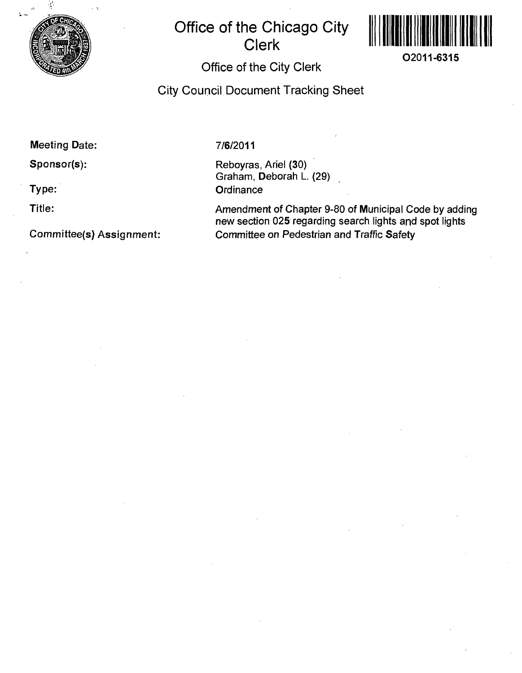

## **Office of the Chicago City Clerk**



## **Office of the City Clerk**

**City Council Document Tracking Sheet** 

**Meeting Date:** 

**Sponsor(s):** 

**Type:** 

**Title:** 

**Committee(s} Assignment:** 

**7/6/2011** 

Reboyras, Ariel (30) Graham, Deborah L. (29) **Ordinance** 

Amendment of Chapter 9-80 of Municipal Code by adding new section 025 regarding search lights and spot lights Committee on Pedestrian and Traffic Safety